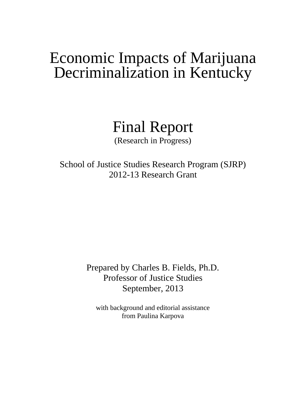# Economic Impacts of Marijuana Decriminalization in Kentucky

Final Report

(Research in Progress)

School of Justice Studies Research Program (SJRP) 2012-13 Research Grant

> Prepared by Charles B. Fields, Ph.D. Professor of Justice Studies September, 2013

with background and editorial assistance from Paulina Karpova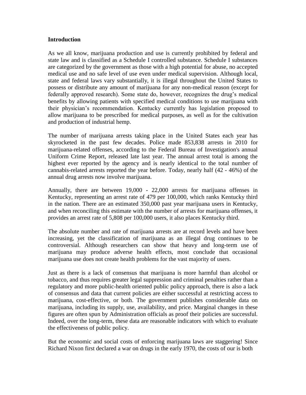#### **Introduction**

As we all know, marijuana production and use is currently prohibited by federal and state law and is classified as a Schedule I controlled substance. Schedule I substances are categorized by the government as those with a high potential for abuse, no accepted medical use and no safe level of use even under medical supervision. Although local, state and federal laws vary substantially, it is illegal throughout the United States to possess or distribute any amount of marijuana for any non-medical reason (except for federally approved research). Some state do, however, recognizes the drug's medical benefits by allowing patients with specified medical conditions to use marijuana with their physician's recommendation. Kentucky currently has legislation proposed to allow marijuana to be prescribed for medical purposes, as well as for the cultivation and production of industrial hemp.

The number of marijuana arrests taking place in the United States each year has skyrocketed in the past few decades. Police made 853,838 arrests in 2010 for marijuana-related offenses, according to the Federal Bureau of Investigation's annual Uniform Crime Report, released late last year. The annual arrest total is among the highest ever reported by the agency and is nearly identical to the total number of cannabis-related arrests reported the year before. Today, nearly half (42 - 46%) of the annual drug arrests now involve marijuana.

Annually, there are between 19,000 - 22,000 arrests for marijuana offenses in Kentucky, representing an arrest rate of 479 per 100,000, which ranks Kentucky third in the nation. There are an estimated 350,000 past year marijuana users in Kentucky, and when reconciling this estimate with the number of arrests for marijuana offenses, it provides an arrest rate of 5,808 per 100,000 users, it also places Kentucky third.

The absolute number and rate of marijuana arrests are at record levels and have been increasing, yet the classification of marijuana as an illegal drug continues to be controversial. Although researchers can show that heavy and long-term use of marijuana may produce adverse health effects, most conclude that occasional marijuana use does not create health problems for the vast majority of users.

Just as there is a lack of consensus that marijuana is more harmful than alcohol or tobacco, and thus requires greater legal suppression and criminal penalties rather than a regulatory and more public-health oriented public policy approach, there is also a lack of consensus and data that current policies are either successful at restricting access to marijuana, cost-effective, or both. The government publishes considerable data on marijuana, including its supply, use, availability, and price. Marginal changes in these figures are often spun by Administration officials as proof their policies are successful. Indeed, over the long-term, these data are reasonable indicators with which to evaluate the effectiveness of public policy.

But the economic and social costs of enforcing marijuana laws are staggering! Since Richard Nixon first declared a war on drugs in the early 1970, the costs of our is both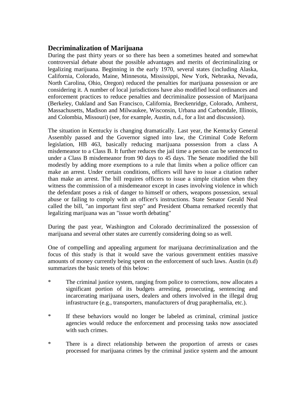## **Decriminalization of Marijuana**

During the past thirty years or so there has been a sometimes heated and somewhat controversial debate about the possible advantages and merits of decriminalizing or legalizing marijuana. Beginning in the early 1970, several states (including Alaska, California, Colorado, Maine, Minnesota, Mississippi, New York, Nebraska, Nevada, North Carolina, Ohio, Oregon) reduced the penalties for marijuana possession or are considering it. A number of local jurisdictions have also modified local ordinances and enforcement practices to reduce penalties and decriminalize possession of Marijuana (Berkeley, Oakland and San Francisco, California, Breckenridge, Colorado, Amherst, Massachusetts, Madison and Milwaukee, Wisconsin, Urbana and Carbondale, Illinois, and Colombia, Missouri) (see, for example, Austin, n.d., for a list and discussion).

The situation in Kentucky is changing dramatically. Last year, the Kentucky General Assembly passed and the Governor signed into law, the Criminal Code Reform legislation, HB 463, basically reducing marijuana possession from a class A misdemeanor to a Class B. It further reduces the jail time a person can be sentenced to under a Class B misdemeanor from 90 days to 45 days. The Senate modified the bill modestly by adding more exemptions to a rule that limits when a police officer can make an arrest. Under certain conditions, officers will have to issue a citation rather than make an arrest. The bill requires officers to issue a simple citation when they witness the commission of a misdemeanor except in cases involving violence in which the defendant poses a risk of danger to himself or others, weapons possession, sexual abuse or failing to comply with an officer's instructions. State Senator Gerald Neal called the bill, "an important first step" and President Obama remarked recently that legalizing marijuana was an "issue worth debating"

During the past year, Washington and Colorado decriminalized the possession of marijuana and several other states are currently considering doing so as well.

One of compelling and appealing argument for marijuana decriminalization and the focus of this study is that it would save the various government entities massive amounts of money currently being spent on the enforcement of such laws. Austin (n.d) summarizes the basic tenets of this below:

- \* The criminal justice system, ranging from police to corrections, now allocates a significant portion of its budgets arresting, prosecuting, sentencing and incarcerating marijuana users, dealers and others involved in the illegal drug infrastructure (e.g., transporters, manufacturers of drug paraphernalia, etc.).
- \* If these behaviors would no longer be labeled as criminal, criminal justice agencies would reduce the enforcement and processing tasks now associated with such crimes.
- \* There is a direct relationship between the proportion of arrests or cases processed for marijuana crimes by the criminal justice system and the amount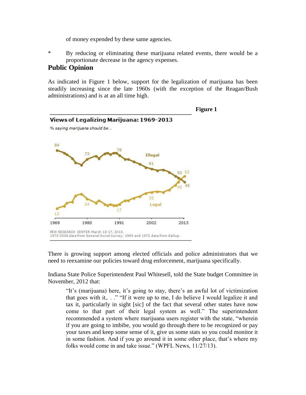of money expended by these same agencies.

\* By reducing or eliminating these marijuana related events, there would be a proportionate decrease in the agency expenses.

## **Public Opinion**

As indicated in Figure 1 below, support for the legalization of marijuana has been steadily increasing since the late 1960s (with the exception of the Reagan/Bush administrations) and is at an all time high.



There is growing support among elected officials and police administrators that we need to reexamine our policies toward drug enforcement, marijuana specifically.

Indiana State Police Superintendent Paul Whitesell, told the State budget Committee in November, 2012 that:

"It's (marijuana) here, it's going to stay, there's an awful lot of victimization that goes with it,. . ." "If it were up to me, I do believe I would legalize it and tax it, particularly in sight [sic] of the fact that several other states have now come to that part of their legal system as well." The superintendent recommended a system where marijuana users register with the state, "wherein if you are going to imbibe, you would go through there to be recognized or pay your taxes and keep some sense of it, give us some stats so you could monitor it in some fashion. And if you go around it in some other place, that's where my folks would come in and take issue." (WPFL News, 11/27/13).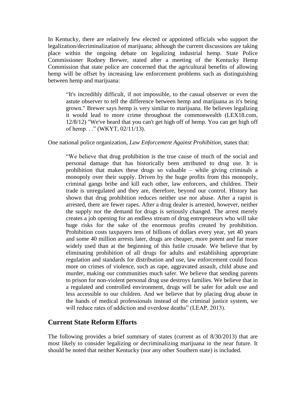In Kentucky, there are relatively few elected or appointed officials who support the legalization/decriminalization of marijuana; although the current discussions are taking place within the ongoing debate on legalizing industrial hemp. State Police Commissioner Rodney Brewer, stated after a meeting of the Kentucky Hemp Commission that state police are concerned that the agricultural benefits of allowing hemp will be offset by increasing law enforcement problems such as distinguishing between hemp and marijuana:

"It's incredibly difficult, if not impossible, to the casual observer or even the astute observer to tell the difference between hemp and marijuana as it's being grown." Brewer says hemp is very similar to marijuana. He believes legalizing it would lead to more crime throughout the commonwealth (LEX18.com, 12/8/12) "We've heard that you can't get high off of hemp. You can get high off of hemp. . ." (WKYT, 02/11/13).

#### One national police organization, *Law Enforcement Against Prohibition*, states that:

"We believe that drug prohibition is the true cause of much of the social and personal damage that has historically been attributed to drug use. It is prohibition that makes these drugs so valuable – while giving criminals a monopoly over their supply. Driven by the huge profits from this monopoly, criminal gangs bribe and kill each other, law enforcers, and children. Their trade is unregulated and they are, therefore, beyond our control. History has shown that drug prohibition reduces neither use nor abuse. After a rapist is arrested, there are fewer rapes. After a drug dealer is arrested, however, neither the supply nor the demand for drugs is seriously changed. The arrest merely creates a job opening for an endless stream of drug entrepreneurs who will take huge risks for the sake of the enormous profits created by prohibition. Prohibition costs taxpayers tens of billions of dollars every year, yet 40 years and some 40 million arrests later, drugs are cheaper, more potent and far more widely used than at the beginning of this futile crusade. We believe that by eliminating prohibition of all drugs for adults and establishing appropriate regulation and standards for distribution and use, law enforcement could focus more on crimes of violence, such as rape, aggravated assault, child abuse and murder, making our communities much safer. We believe that sending parents to prison for non-violent personal drug use destroys families. We believe that in a regulated and controlled environment, drugs will be safer for adult use and less accessible to our children. And we believe that by placing drug abuse in the hands of medical professionals instead of the criminal justice system, we will reduce rates of addiction and overdose deaths" (LEAP, 2013).

## **Current State Reform Efforts**

The following provides a brief summary of states (current as of 8/30/2013) that are most likely to consider legalizing or decriminalizing marijuana in the near future. It should be noted that neither Kentucky (nor any other Southern state) is included.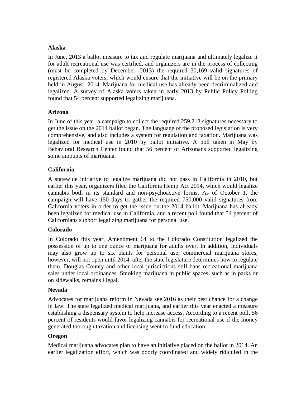#### **Alaska**

In June, 2013 a ballot measure to tax and regulate marijuana and ultimately legalize it for adult recreational use was certified, and organizers are in the process of collecting (must be completed by December, 2013) the required 30,169 valid signatures of registered Alaska voters, which would ensure that the initiative will be on the primary held in August, 2014. Marijuana for medical use has already been decriminalized and legalized. A survey of Alaska voters taken in early 2013 by Public Policy Polling found that 54 percent supported legalizing marijuana.

## **Arizona**

In June of this year, a campaign to collect the required 259,213 signatures necessary to get the issue on the 2014 ballot began. The language of the proposed legislation is very comprehensive, and also includes a system for regulation and taxation. Marijuana was legalized for medical use in 2010 by ballot initiative. A poll taken in May by Behavioral Research Center found that 56 percent of Arizonans supported legalizing some amounts of marijuana.

## **California**

A statewide initiative to legalize marijuana did not pass in California in 2010, but earlier this year, organizers filed the California Hemp Act 2014, which would legalize cannabis both in its standard and non-psychoactive forms. As of October 1, the campaign will have 150 days to gather the required 750,000 valid signatures from California voters in order to get the issue on the 2014 ballot. Marijuana has already been legalized for medical use in California, and a recent poll found that 54 percent of Californians support legalizing marijuana for personal use.

## **Colorado**

In Colorado this year, Amendment 64 to the Colorado Constitution legalized the possession of up to one ounce of marijuana for adults over. In addition, individuals may also grow up to six plants for personal use; commercial marijuana stores, however, will not open until 2014, after the state legislature determines how to regulate them. Douglas County and other local jurisdictions still bans recreational marijuana sales under local ordinances. Smoking marijuana in public spaces, such as in parks or on sidewalks, remains illegal.

## **Nevada**

Advocates for marijuana reform in Nevada see 2016 as their best chance for a change in law. The state legalized medical marijuana, and earlier this year enacted a measure establishing a dispensary system to help increase access. According to a recent poll, 56 percent of residents would favor legalizing cannabis for recreational use if the money generated thorough taxation and licensing went to fund education.

## **Oregon**

Medical marijuana advocates plan to have an initiative placed on the ballot in 2014. An earlier legalization effort, which was poorly coordinated and widely ridiculed in the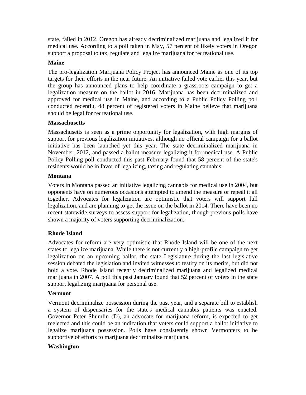state, failed in 2012. Oregon has already decriminalized marijuana and legalized it for medical use. According to a poll taken in May, 57 percent of likely voters in Oregon support a proposal to tax, regulate and legalize marijuana for recreational use.

## **Maine**

The pro-legalization Marijuana Policy Project has announced Maine as one of its top targets for their efforts in the near future. An initiative failed vote earlier this year, but the group has announced plans to help coordinate a grassroots campaign to get a legalization measure on the ballot in 2016. Marijuana has been decriminalized and approved for medical use in Maine, and according to a Public Policy Polling poll conducted recentlu, 48 percent of registered voters in Maine believe that marijuana should be legal for recreational use.

## **Massachusetts**

Massachusetts is seen as a prime opportunity for legalization, with high margins of support for previous legalization initiatives, although no official campaign for a ballot initiative has been launched yet this year. The state decriminalized marijuana in November, 2012, and passed a ballot measure legalizing it for medical use. A Public Policy Polling poll conducted this past February found that 58 percent of the state's residents would be in favor of legalizing, taxing and regulating cannabis.

## **Montana**

Voters in Montana passed an initiative legalizing cannabis for medical use in 2004, but opponents have on numerous occasions attempted to amend the measure or repeal it all together. Advocates for legalization are optimistic that voters will support full legalization, and are planning to get the issue on the ballot in 2014. There have been no recent statewide surveys to assess support for legalization, though previous polls have shown a majority of voters supporting decriminalization.

## **Rhode Island**

Advocates for reform are very optimistic that Rhode Island will be one of the next states to legalize marijuana. While there is not currently a high-profile campaign to get legalization on an upcoming ballot, the state Legislature during the last legislative session debated the legislation and invited witnesses to testify on its merits, but did not hold a vote. Rhode Island recently decriminalized marijuana and legalized medical marijuana in 2007. A poll this past January found that 52 percent of voters in the state support legalizing marijuana for personal use.

## **Vermont**

Vermont decriminalize possession during the past year, and a separate bill to establish a system of dispensaries for the state's medical cannabis patients was enacted. Governor Peter Shumlin (D), an advocate for marijuana reform, is expected to get reelected and this could be an indication that voters could support a ballot initiative to legalize marijuana possession. Polls have consistently shown Vermonters to be supportive of efforts to marijuana decriminalize marijuana.

## **Washington**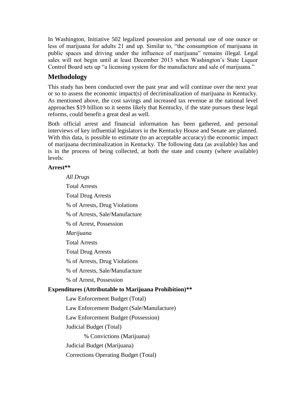In Washington, Initiative 502 legalized possession and personal use of one ounce or less of marijuana for adults 21 and up. Similar to, "the consumption of marijuana in public spaces and driving under the influence of marijuana" remains illegal. Legal sales will not begin until at least December 2013 when Washington's State Liquor Control Board sets up "a licensing system for the manufacture and sale of marijuana."

# **Methodology**

This study has been conducted over the past year and will continue over the next year or so to assess the economic impact(s) of decriminalization of marijuana in Kentucky. As mentioned above, the cost savings and increased tax revenue at the national level approaches \$19 billion so it seems likely that Kentucky, if the state pursues these legal reforms, could benefit a great deal as well.

Both official arrest and financial information has been gathered, and personal interviews of key influential legislators in the Kentucky House and Senate are planned. With this data, is possible to estimate (to an acceptable accuracy) the economic impact of marijuana decriminalization in Kentucky. The following data (as available) has and is in the process of being collected, at both the state and county (where available) levels:

## **Arrest\*\***

*All Drugs* Total Arrests Total Drug Arrests % of Arrests, Drug Violations % of Arrests, Sale/Manufacture % of Arrest, Possession *Marijuana* Total Arrests Total Drug Arrests % of Arrests, Drug Violations % of Arrests, Sale/Manufacture % of Arrest, Possession **Expenditures (Attributable to Marijuana Prohibition)\*\*** Law Enforcement Budget (Total) Law Enforcement Budget (Sale/Manufacture) Law Enforcement Budget (Possession) Judicial Budget (Total) % Convictions (Marijuana) Judicial Budget (Marijuana) Corrections Operating Budget (Total)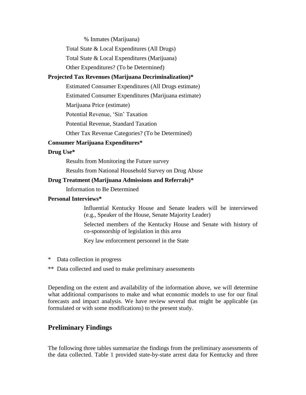% Inmates (Marijuana)

Total State & Local Expenditures (All Drugs)

Total State & Local Expenditures (Marijuana)

Other Expenditures? (To be Determined)

## **Projected Tax Revenues (Marijuana Decriminalization)\***

Estimated Consumer Expenditures (All Drugs estimate)

Estimated Consumer Expenditures (Marijuana estimate)

Marijuana Price (estimate)

Potential Revenue, 'Sin' Taxation

Potential Revenue, Standard Taxation

Other Tax Revenue Categories? (To be Determined)

#### **Consumer Marijuana Expenditures\***

#### **Drug Use\***

Results from Monitoring the Future survey

Results from National Household Survey on Drug Abuse

#### **Drug Treatment (Marijuana Admissions and Referrals)\***

Information to Be Determined

#### **Personal Interviews\***

Influential Kentucky House and Senate leaders will be interviewed (e.g., Speaker of the House, Senate Majority Leader)

Selected members of the Kentucky House and Senate with history of co-sponsorship of legislation in this area

Key law enforcement personnel in the State

- \* Data collection in progress
- \*\* Data collected and used to make preliminary assessments

Depending on the extent and availability of the information above, we will determine what additional comparisons to make and what economic models to use for our final forecasts and impact analysis. We have review several that might be applicable (as formulated or with some modifications) to the present study.

## **Preliminary Findings**

The following three tables summarize the findings from the preliminary assessments of the data collected. Table 1 provided state-by-state arrest data for Kentucky and three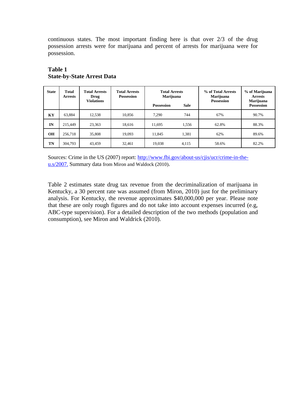continuous states. The most important finding here is that over 2/3 of the drug possession arrests were for marijuana and percent of arrests for marijuana were for possession.

| <b>State</b> | Total<br><b>Arrests</b> | <b>Total Arrests</b><br>Drug<br><b>Violations</b> | <b>Total Arrests</b><br><b>Possession</b> | <b>Total Arrests</b><br>Marijuana<br><b>Sale</b><br><b>Possession</b> |       | % of Total Arrests<br>Marijuana<br><b>Possession</b> | % of Marijuana<br><b>Arrests</b><br>Marijuana<br><b>Possession</b> |
|--------------|-------------------------|---------------------------------------------------|-------------------------------------------|-----------------------------------------------------------------------|-------|------------------------------------------------------|--------------------------------------------------------------------|
| KY           | 63,884                  | 12,538                                            | 10.856                                    | 7.290                                                                 | 744   | 67%                                                  | 90.7%                                                              |
| IN           | 215,449                 | 23,363                                            | 18,616                                    | 11.695                                                                | 1,556 | 62.8%                                                | 88.3%                                                              |
| <b>OH</b>    | 256,718                 | 35,808                                            | 19,093                                    | 11,845                                                                | 1,381 | 62%                                                  | 89.6%                                                              |
| TN           | 304,793                 | 43,459                                            | 32,461                                    | 19,038                                                                | 4,115 | 58.6%                                                | 82.2%                                                              |

## **Table 1 State-by-State Arrest Data**

Sources: Crime in the US (2007) report: [http://www.fbi.gov/about-us/cjis/ucr/crime-in-the](http://www.fbi.gov/about-us/cjis/ucr/crime-in-the-u.s/2007.)[u.s/2007.](http://www.fbi.gov/about-us/cjis/ucr/crime-in-the-u.s/2007.) Summary data from Miron and Waldock (2010).

Table 2 estimates state drug tax revenue from the decriminalization of marijuana in Kentucky, a 30 percent rate was assumed (from Miron, 2010) just for the preliminary analysis. For Kentucky, the revenue approximates \$40,000,000 per year. Please note that these are only rough figures and do not take into account expenses incurred (e.g, ABC-type supervision). For a detailed description of the two methods (population and consumption), see Miron and Waldrick (2010).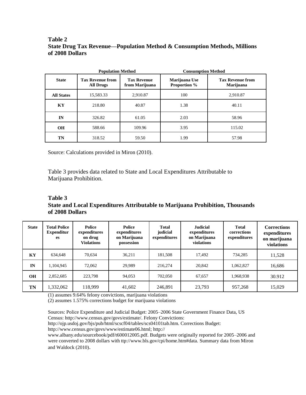## **Table 2 State Drug Tax Revenue—Population Method & Consumption Methods, Millions of 2008 Dollars**

|                   | <b>Population Method</b>                    |                                      | <b>Consumption Method</b>            |                                             |  |
|-------------------|---------------------------------------------|--------------------------------------|--------------------------------------|---------------------------------------------|--|
| <b>State</b>      | <b>Tax Revenue from</b><br><b>All Drugs</b> | <b>Tax Revenue</b><br>from Marijuana | Marijuana Use<br><b>Proportion %</b> | <b>Tax Revenue from</b><br><b>Marijuana</b> |  |
| <b>All States</b> | 15,583.33                                   | 2,910.87                             | 100                                  | 2.910.87                                    |  |
| KY                | 218.80                                      | 40.87                                | 1.38                                 | 40.11                                       |  |
| IN                | 326.82                                      | 61.05                                | 2.03                                 | 58.96                                       |  |
| <b>OH</b>         | 588.66                                      | 109.96                               | 3.95                                 | 115.02                                      |  |
| TN                | 318.52                                      | 59.50                                | 1.99                                 | 57.98                                       |  |

Source: Calculations provided in Miron (2010).

Table 3 provides data related to State and Local Expenditures Attributable to Marijuana Prohibition.

**Table 3 State and Local Expenditures Attributable to Marijuana Prohibition, Thousands of 2008 Dollars**

| <b>State</b> | <b>Total Police</b><br><b>Expenditur</b><br><b>es</b> | <b>Police</b><br>expenditures<br>on drug<br><b>Violations</b> | <b>Police</b><br>expenditures<br>on Marijuana<br>possession | <b>Total</b><br>judicial<br>expenditures | <b>Judicial</b><br>expenditures<br>on Marijuana<br>violations | <b>Total</b><br>corrections<br>expenditures | <b>Corrections</b><br>expenditures<br>on marijuana<br>violations |
|--------------|-------------------------------------------------------|---------------------------------------------------------------|-------------------------------------------------------------|------------------------------------------|---------------------------------------------------------------|---------------------------------------------|------------------------------------------------------------------|
| KY           | 634,648                                               | 70.634                                                        | 36.211                                                      | 181,508                                  | 17.492                                                        | 734,285                                     | 11,528                                                           |
| IN           | 1,104,945                                             | 72.062                                                        | 29.989                                                      | 216,274                                  | 20.842                                                        | 1.062.827                                   | 16,686                                                           |
| <b>OH</b>    | 2,852,685                                             | 223,798                                                       | 94,053                                                      | 702,050                                  | 67.657                                                        | 1,968,938                                   | 30.912                                                           |
| TN           | 1,332,062                                             | 118,999                                                       | 41,602                                                      | 246,891                                  | 23,793                                                        | 957,268                                     | 15,029                                                           |

(1) assumes 9.64% felony convictions, marijuana violations

(2) assumes 1.575% corrections budget for marijuana violations

Sources: Police Expenditure and Judicial Budget: 2005–2006 State Government Finance Data, US Census: http://www.census.gov/govs/estimate/. Felony Convictions:

http://ojp.usdoj.gov/bjs/pub/html/scscf04/tables/scs04101tab.htm. Corrections Budget:

http://www.census.gov/govs/www/estimate06.html; http://

www.albany.edu/sourcebook/pdf/t600012005.pdf. Budgets were originally reported for 2005–2006 and were converted to 2008 dollars with ttp://www.bls.gov/cpi/home.htm#data. Summary data from Miron and Waldock (2010).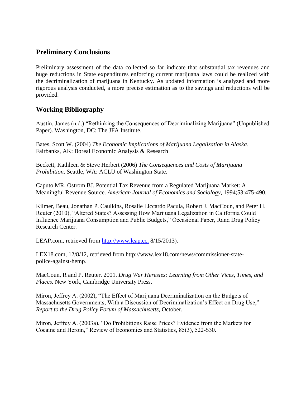# **Preliminary Conclusions**

Preliminary assessment of the data collected so far indicate that substantial tax revenues and huge reductions in State expenditures enforcing current marijuana laws could be realized with the decriminalization of marijuana in Kentucky. As updated information is analyzed and more rigorous analysis conducted, a more precise estimation as to the savings and reductions will be provided.

## **Working Bibliography**

Austin, James (n.d.) "Rethinking the Consequences of Decriminalizing Marijuana" (Unpublished Paper). Washington, DC: The JFA Institute.

Bates, Scott W. (2004) *The Economic Implications of Marijuana Legalization in Alaska*. Fairbanks, AK: Boreal Economic Analysis & Research

Beckett, Kathleen & Steve Herbert (2006) *The Consequences and Costs of Marijuana Prohibition*. Seattle, WA: ACLU of Washington State.

Caputo MR, Ostrom BJ. Potential Tax Revenue from a Regulated Marijuana Market: A Meaningful Revenue Source. *American Journal of Economics and Sociology*, 1994;53:475-490.

Kilmer, Beau, Jonathan P. Caulkins, Rosalie Liccardo Pacula, Robert J. MacCoun, and Peter H. Reuter (2010), "Altered States? Assessing How Marijuana Legalization in California Could Influence Marijuana Consumption and Public Budgets," Occasional Paper, Rand Drug Policy Research Center.

LEAP.com, retrieved from [http://www.leap.cc,](http://www.leap.cc,/) 8/15/2013).

LEX18.com, 12/8/12, retrieved from http://www.lex18.com/news/commissioner-statepolice-against-hemp.

MacCoun, R and P. Reuter. 2001. *Drug War Heresies: Learning from Other Vices, Times, and Places.* New York, Cambridge University Press.

Miron, Jeffrey A. (2002), "The Effect of Marijuana Decriminalization on the Budgets of Massachusetts Governments, With a Discussion of Decriminalization's Effect on Drug Use," *Report to the Drug Policy Forum of Massachusetts*, October.

Miron, Jeffrey A. (2003a), "Do Prohibitions Raise Prices? Evidence from the Markets for Cocaine and Heroin," Review of Economics and Statistics, 85(3), 522-530.